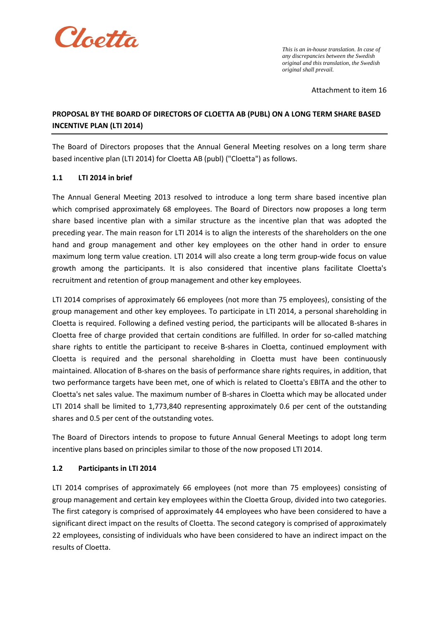

*This is an in-house translation. In case of any discrepancies between the Swedish original and this translation, the Swedish original shall prevail.*

Attachment to item 16

# **PROPOSAL BY THE BOARD OF DIRECTORS OF CLOETTA AB (PUBL) ON A LONG TERM SHARE BASED INCENTIVE PLAN (LTI 2014)**

The Board of Directors proposes that the Annual General Meeting resolves on a long term share based incentive plan (LTI 2014) for Cloetta AB (publ) ("Cloetta") as follows.

## **1.1 LTI 2014 in brief**

The Annual General Meeting 2013 resolved to introduce a long term share based incentive plan which comprised approximately 68 employees. The Board of Directors now proposes a long term share based incentive plan with a similar structure as the incentive plan that was adopted the preceding year. The main reason for LTI 2014 is to align the interests of the shareholders on the one hand and group management and other key employees on the other hand in order to ensure maximum long term value creation. LTI 2014 will also create a long term group-wide focus on value growth among the participants. It is also considered that incentive plans facilitate Cloetta's recruitment and retention of group management and other key employees.

LTI 2014 comprises of approximately 66 employees (not more than 75 employees), consisting of the group management and other key employees. To participate in LTI 2014, a personal shareholding in Cloetta is required. Following a defined vesting period, the participants will be allocated B-shares in Cloetta free of charge provided that certain conditions are fulfilled. In order for so-called matching share rights to entitle the participant to receive B-shares in Cloetta, continued employment with Cloetta is required and the personal shareholding in Cloetta must have been continuously maintained. Allocation of B-shares on the basis of performance share rights requires, in addition, that two performance targets have been met, one of which is related to Cloetta's EBITA and the other to Cloetta's net sales value. The maximum number of B-shares in Cloetta which may be allocated under LTI 2014 shall be limited to 1,773,840 representing approximately 0.6 per cent of the outstanding shares and 0.5 per cent of the outstanding votes.

The Board of Directors intends to propose to future Annual General Meetings to adopt long term incentive plans based on principles similar to those of the now proposed LTI 2014.

#### **1.2 Participants in LTI 2014**

LTI 2014 comprises of approximately 66 employees (not more than 75 employees) consisting of group management and certain key employees within the Cloetta Group, divided into two categories. The first category is comprised of approximately 44 employees who have been considered to have a significant direct impact on the results of Cloetta. The second category is comprised of approximately 22 employees, consisting of individuals who have been considered to have an indirect impact on the results of Cloetta.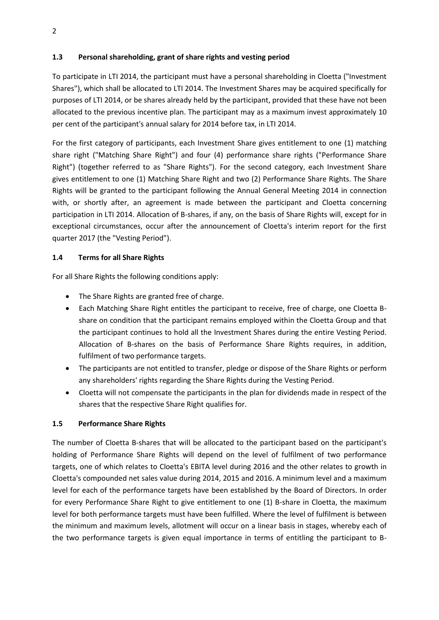## **1.3 Personal shareholding, grant of share rights and vesting period**

To participate in LTI 2014, the participant must have a personal shareholding in Cloetta ("Investment Shares"), which shall be allocated to LTI 2014. The Investment Shares may be acquired specifically for purposes of LTI 2014, or be shares already held by the participant, provided that these have not been allocated to the previous incentive plan. The participant may as a maximum invest approximately 10 per cent of the participant's annual salary for 2014 before tax, in LTI 2014.

For the first category of participants, each Investment Share gives entitlement to one (1) matching share right ("Matching Share Right") and four (4) performance share rights ("Performance Share Right") (together referred to as "Share Rights"). For the second category, each Investment Share gives entitlement to one (1) Matching Share Right and two (2) Performance Share Rights. The Share Rights will be granted to the participant following the Annual General Meeting 2014 in connection with, or shortly after, an agreement is made between the participant and Cloetta concerning participation in LTI 2014. Allocation of B-shares, if any, on the basis of Share Rights will, except for in exceptional circumstances, occur after the announcement of Cloetta's interim report for the first quarter 2017 (the "Vesting Period").

## **1.4 Terms for all Share Rights**

For all Share Rights the following conditions apply:

- The Share Rights are granted free of charge.
- Each Matching Share Right entitles the participant to receive, free of charge, one Cloetta Bshare on condition that the participant remains employed within the Cloetta Group and that the participant continues to hold all the Investment Shares during the entire Vesting Period. Allocation of B-shares on the basis of Performance Share Rights requires, in addition, fulfilment of two performance targets.
- The participants are not entitled to transfer, pledge or dispose of the Share Rights or perform any shareholders' rights regarding the Share Rights during the Vesting Period.
- Cloetta will not compensate the participants in the plan for dividends made in respect of the shares that the respective Share Right qualifies for.

#### **1.5 Performance Share Rights**

The number of Cloetta B-shares that will be allocated to the participant based on the participant's holding of Performance Share Rights will depend on the level of fulfilment of two performance targets, one of which relates to Cloetta's EBITA level during 2016 and the other relates to growth in Cloetta's compounded net sales value during 2014, 2015 and 2016. A minimum level and a maximum level for each of the performance targets have been established by the Board of Directors. In order for every Performance Share Right to give entitlement to one (1) B-share in Cloetta, the maximum level for both performance targets must have been fulfilled. Where the level of fulfilment is between the minimum and maximum levels, allotment will occur on a linear basis in stages, whereby each of the two performance targets is given equal importance in terms of entitling the participant to B-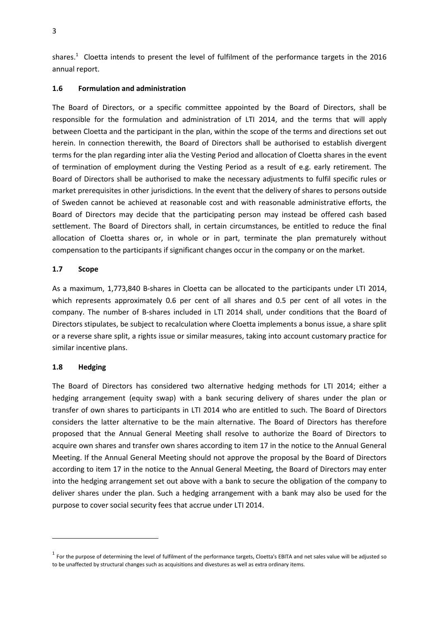shares.<sup>1</sup> Cloetta intends to present the level of fulfilment of the performance targets in the 2016 annual report.

## **1.6 Formulation and administration**

The Board of Directors, or a specific committee appointed by the Board of Directors, shall be responsible for the formulation and administration of LTI 2014, and the terms that will apply between Cloetta and the participant in the plan, within the scope of the terms and directions set out herein. In connection therewith, the Board of Directors shall be authorised to establish divergent terms for the plan regarding inter alia the Vesting Period and allocation of Cloetta shares in the event of termination of employment during the Vesting Period as a result of e.g. early retirement. The Board of Directors shall be authorised to make the necessary adjustments to fulfil specific rules or market prerequisites in other jurisdictions. In the event that the delivery of shares to persons outside of Sweden cannot be achieved at reasonable cost and with reasonable administrative efforts, the Board of Directors may decide that the participating person may instead be offered cash based settlement. The Board of Directors shall, in certain circumstances, be entitled to reduce the final allocation of Cloetta shares or, in whole or in part, terminate the plan prematurely without compensation to the participants if significant changes occur in the company or on the market.

## **1.7 Scope**

As a maximum, 1,773,840 B-shares in Cloetta can be allocated to the participants under LTI 2014, which represents approximately 0.6 per cent of all shares and 0.5 per cent of all votes in the company. The number of B-shares included in LTI 2014 shall, under conditions that the Board of Directors stipulates, be subject to recalculation where Cloetta implements a bonus issue, a share split or a reverse share split, a rights issue or similar measures, taking into account customary practice for similar incentive plans.

#### **1.8 Hedging**

 $\overline{\phantom{a}}$ 

The Board of Directors has considered two alternative hedging methods for LTI 2014; either a hedging arrangement (equity swap) with a bank securing delivery of shares under the plan or transfer of own shares to participants in LTI 2014 who are entitled to such. The Board of Directors considers the latter alternative to be the main alternative. The Board of Directors has therefore proposed that the Annual General Meeting shall resolve to authorize the Board of Directors to acquire own shares and transfer own shares according to item 17 in the notice to the Annual General Meeting. If the Annual General Meeting should not approve the proposal by the Board of Directors according to item 17 in the notice to the Annual General Meeting, the Board of Directors may enter into the hedging arrangement set out above with a bank to secure the obligation of the company to deliver shares under the plan. Such a hedging arrangement with a bank may also be used for the purpose to cover social security fees that accrue under LTI 2014.

 $^1$  For the purpose of determining the level of fulfilment of the performance targets, Cloetta's EBITA and net sales value will be adjusted so to be unaffected by structural changes such as acquisitions and divestures as well as extra ordinary items.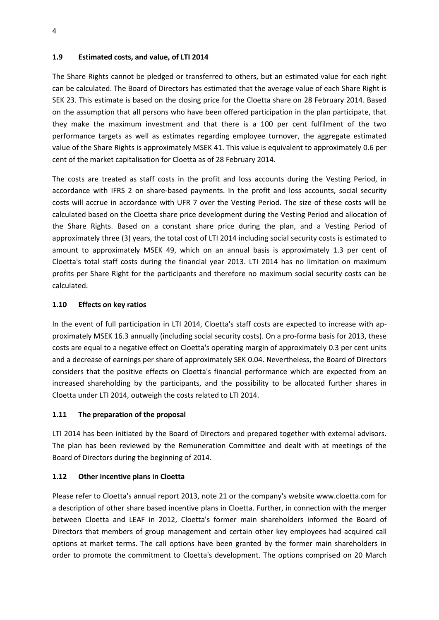#### **1.9 Estimated costs, and value, of LTI 2014**

The Share Rights cannot be pledged or transferred to others, but an estimated value for each right can be calculated. The Board of Directors has estimated that the average value of each Share Right is SEK 23. This estimate is based on the closing price for the Cloetta share on 28 February 2014. Based on the assumption that all persons who have been offered participation in the plan participate, that they make the maximum investment and that there is a 100 per cent fulfilment of the two performance targets as well as estimates regarding employee turnover, the aggregate estimated value of the Share Rights is approximately MSEK 41. This value is equivalent to approximately 0.6 per cent of the market capitalisation for Cloetta as of 28 February 2014.

The costs are treated as staff costs in the profit and loss accounts during the Vesting Period, in accordance with IFRS 2 on share-based payments. In the profit and loss accounts, social security costs will accrue in accordance with UFR 7 over the Vesting Period. The size of these costs will be calculated based on the Cloetta share price development during the Vesting Period and allocation of the Share Rights. Based on a constant share price during the plan, and a Vesting Period of approximately three (3) years, the total cost of LTI 2014 including social security costs is estimated to amount to approximately MSEK 49, which on an annual basis is approximately 1.3 per cent of Cloetta's total staff costs during the financial year 2013. LTI 2014 has no limitation on maximum profits per Share Right for the participants and therefore no maximum social security costs can be calculated.

## **1.10 Effects on key ratios**

In the event of full participation in LTI 2014, Cloetta's staff costs are expected to increase with approximately MSEK 16.3 annually (including social security costs). On a pro-forma basis for 2013, these costs are equal to a negative effect on Cloetta's operating margin of approximately 0.3 per cent units and a decrease of earnings per share of approximately SEK 0.04. Nevertheless, the Board of Directors considers that the positive effects on Cloetta's financial performance which are expected from an increased shareholding by the participants, and the possibility to be allocated further shares in Cloetta under LTI 2014, outweigh the costs related to LTI 2014.

## **1.11 The preparation of the proposal**

LTI 2014 has been initiated by the Board of Directors and prepared together with external advisors. The plan has been reviewed by the Remuneration Committee and dealt with at meetings of the Board of Directors during the beginning of 2014.

## **1.12 Other incentive plans in Cloetta**

Please refer to Cloetta's annual report 2013, note 21 or the company's website [www.cloetta.com](http://www.cloetta.com/) for a description of other share based incentive plans in Cloetta. Further, in connection with the merger between Cloetta and LEAF in 2012, Cloetta's former main shareholders informed the Board of Directors that members of group management and certain other key employees had acquired call options at market terms. The call options have been granted by the former main shareholders in order to promote the commitment to Cloetta's development. The options comprised on 20 March